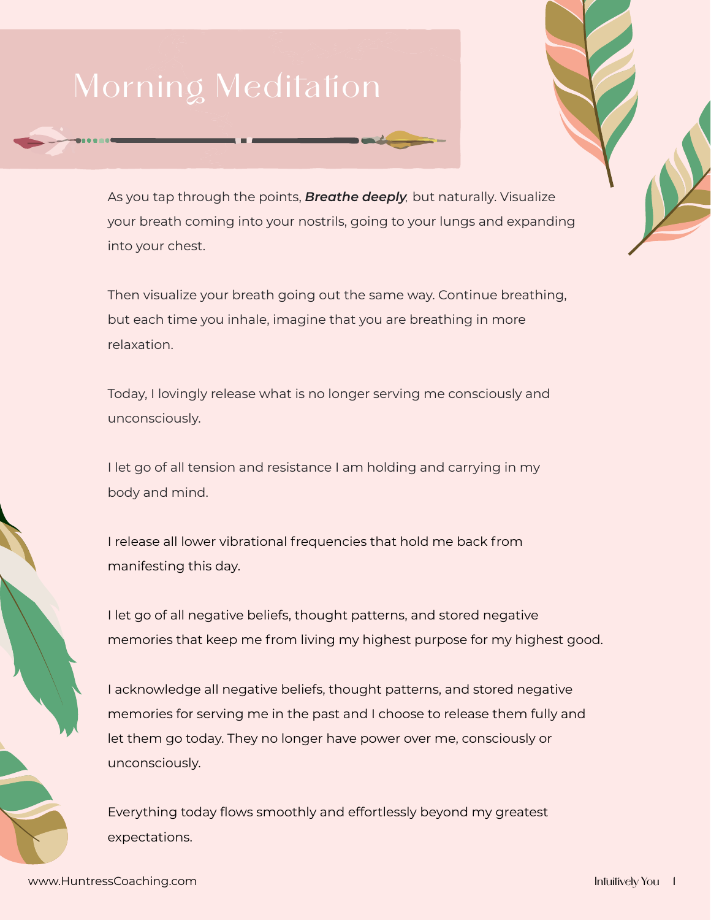## Morning Meditation

As you tap through the points, *Breathe deeply,* but naturally. Visualize your breath coming into your nostrils, going to your lungs and expanding into your chest.

Then visualize your breath going out the same way. Continue breathing, but each time you inhale, imagine that you are breathing in more relaxation.

Today, I lovingly release what is no longer serving me consciously and unconsciously.

I let go of all tension and resistance I am holding and carrying in my body and mind.

I release all lower vibrational frequencies that hold me back from manifesting this day.

I let go of all negative beliefs, thought patterns, and stored negative memories that keep me from living my highest purpose for my highest good.

I acknowledge all negative beliefs, thought patterns, and stored negative memories for serving me in the past and I choose to release them fully and let them go today. They no longer have power over me, consciously or unconsciously.

Everything today flows smoothly and effortlessly beyond my greatest expectations.